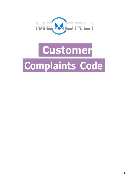

# **Customer Complaints Code**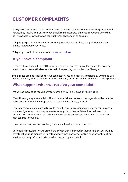# **CUSTOMER COMPLAINTS**

We try hard to ensure that our customers are happy with the level of service, and the products and service they receive from us. However, despite our best efforts, things can go wrong. When they do, we want to know so that we can put them right as soon as possible.

This policy explains how to contact us and our procedures for resolving complaints about sales, billing, fault repair or services.

This policy is available on our website - [www.memorli.co](http://www.memorli.co/)

## **If you have a complaint**

Ifyou are dissatisfied withany ofthe products or services we have provided, we would encourage you to try and resolve the issues informally by speaking to your Account Manager.

 If the issues are not resolved to your satisfaction, you can make a complaint by writing to us at Memorli Limited, 65 Cromer Road EN55HT, London, UK or by sending an email to sales@memorli.co

#### **What happens when we receive your complaint**

We will acknowledge receipt of your complaint within 3 days of receiving it.

We will investigate your complaint. This will normally involve a senior manager who will review the nature ofthe complaint and speak to the relevant member(s) of staff.

Following an investigation, we will provide you with a written response outlining the conclusions of our investigationandhowweproposetoremedytheproblems.Wewillnormallysendour response within ten working days of the complaint being received, although more complex cases may take up to 8 weeks.

If we cannot resolve the problem, then we will write to you to say so.

During any discussions, we will protect the privacy of the information that we hold on you. We may havetoaskyouquestionstoconfirmthatwearespeakingtotherightpersonandtoobtainfrom you the necessary information to consider your complaint in full.